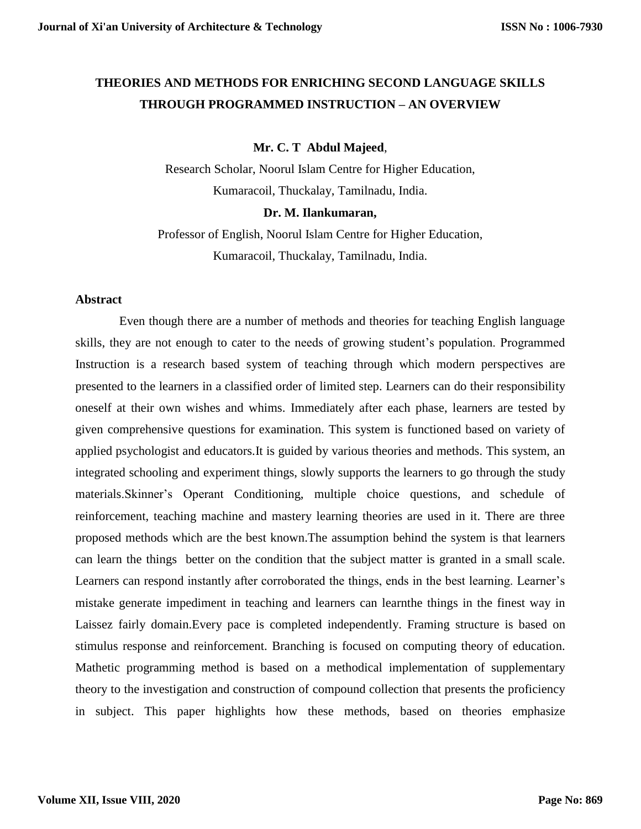# **THEORIES AND METHODS FOR ENRICHING SECOND LANGUAGE SKILLS THROUGH PROGRAMMED INSTRUCTION – AN OVERVIEW**

# **Mr. C. T Abdul Majeed**,

Research Scholar, Noorul Islam Centre for Higher Education, Kumaracoil, Thuckalay, Tamilnadu, India.

## **Dr. M. Ilankumaran,**

Professor of English, Noorul Islam Centre for Higher Education, Kumaracoil, Thuckalay, Tamilnadu, India.

## **Abstract**

 Even though there are a number of methods and theories for teaching English language skills, they are not enough to cater to the needs of growing student's population. Programmed Instruction is a research based system of teaching through which modern perspectives are presented to the learners in a classified order of limited step. Learners can do their responsibility oneself at their own wishes and whims. Immediately after each phase, learners are tested by given comprehensive questions for examination. This system is functioned based on variety of applied psychologist and educators.It is guided by various theories and methods. This system, an integrated schooling and experiment things, slowly supports the learners to go through the study materials.Skinner's Operant Conditioning, multiple choice questions, and schedule of reinforcement, teaching machine and mastery learning theories are used in it. There are three proposed methods which are the best known.The assumption behind the system is that learners can learn the things better on the condition that the subject matter is granted in a small scale. Learners can respond instantly after corroborated the things, ends in the best learning. Learner's mistake generate impediment in teaching and learners can learnthe things in the finest way in Laissez fairly domain.Every pace is completed independently. Framing structure is based on stimulus response and reinforcement. Branching is focused on computing theory of education. Mathetic programming method is based on a methodical implementation of supplementary theory to the investigation and construction of compound collection that presents the proficiency in subject. This paper highlights how these methods, based on theories emphasize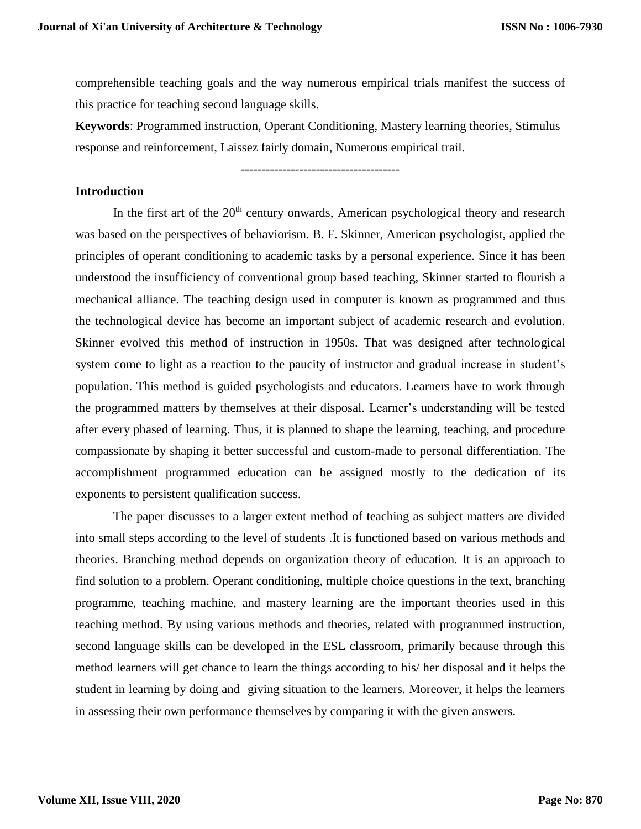comprehensible teaching goals and the way numerous empirical trials manifest the success of this practice for teaching second language skills.

**Keywords**: Programmed instruction, Operant Conditioning, Mastery learning theories, Stimulus response and reinforcement, Laissez fairly domain, Numerous empirical trail.

--------------------------------------

#### **Introduction**

In the first art of the  $20<sup>th</sup>$  century onwards, American psychological theory and research was based on the perspectives of behaviorism. B. F. Skinner, American psychologist, applied the principles of operant conditioning to academic tasks by a personal experience. Since it has been understood the insufficiency of conventional group based teaching, Skinner started to flourish a mechanical alliance. The teaching design used in computer is known as programmed and thus the technological device has become an important subject of academic research and evolution. Skinner evolved this method of instruction in 1950s. That was designed after technological system come to light as a reaction to the paucity of instructor and gradual increase in student's population. This method is guided psychologists and educators. Learners have to work through the programmed matters by themselves at their disposal. Learner's understanding will be tested after every phased of learning. Thus, it is planned to shape the learning, teaching, and procedure compassionate by shaping it better successful and custom-made to personal differentiation. The accomplishment programmed education can be assigned mostly to the dedication of its exponents to persistent qualification success.

The paper discusses to a larger extent method of teaching as subject matters are divided into small steps according to the level of students .It is functioned based on various methods and theories. Branching method depends on organization theory of education. It is an approach to find solution to a problem. Operant conditioning, multiple choice questions in the text, branching programme, teaching machine, and mastery learning are the important theories used in this teaching method. By using various methods and theories, related with programmed instruction, second language skills can be developed in the ESL classroom, primarily because through this method learners will get chance to learn the things according to his/ her disposal and it helps the student in learning by doing and giving situation to the learners. Moreover, it helps the learners in assessing their own performance themselves by comparing it with the given answers.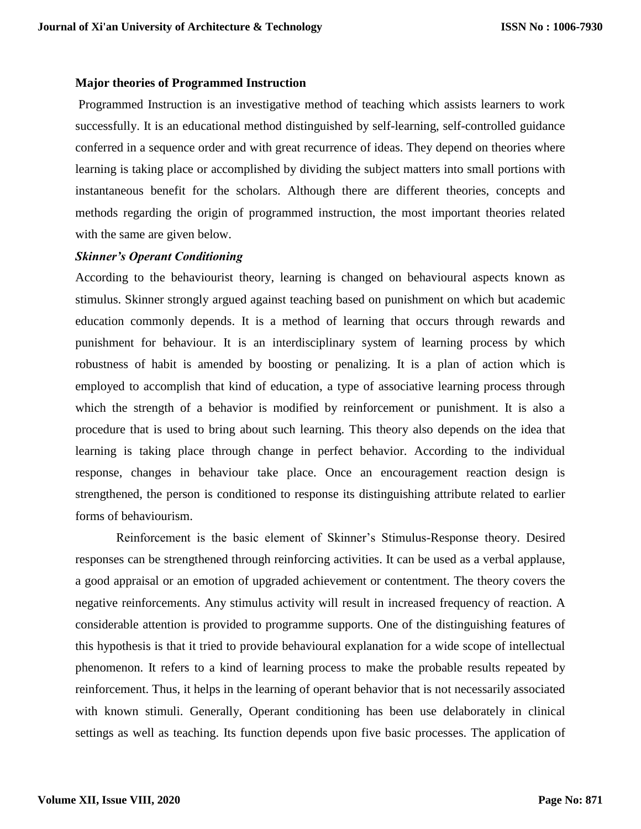## **Major theories of Programmed Instruction**

Programmed Instruction is an investigative method of teaching which assists learners to work successfully. It is an educational method distinguished by self-learning, self-controlled guidance conferred in a sequence order and with great recurrence of ideas. They depend on theories where learning is taking place or accomplished by dividing the subject matters into small portions with instantaneous benefit for the scholars. Although there are different theories, concepts and methods regarding the origin of programmed instruction, the most important theories related with the same are given below.

# *Skinner's Operant Conditioning*

According to the behaviourist theory, learning is changed on behavioural aspects known as stimulus. Skinner strongly argued against teaching based on punishment on which but academic education commonly depends. It is a method of learning that occurs through rewards and punishment for behaviour. It is an interdisciplinary system of learning process by which robustness of habit is amended by boosting or penalizing. It is a plan of action which is employed to accomplish that kind of education, a type of associative learning process through which the strength of a behavior is modified by reinforcement or punishment. It is also a procedure that is used to bring about such learning. This theory also depends on the idea that learning is taking place through change in perfect behavior. According to the individual response, changes in behaviour take place. Once an encouragement reaction design is strengthened, the person is conditioned to response its distinguishing attribute related to earlier forms of behaviourism.

 Reinforcement is the basic element of Skinner's Stimulus-Response theory. Desired responses can be strengthened through reinforcing activities. It can be used as a verbal applause, a good appraisal or an emotion of upgraded achievement or contentment. The theory covers the negative reinforcements. Any stimulus activity will result in increased frequency of reaction. A considerable attention is provided to programme supports. One of the distinguishing features of this hypothesis is that it tried to provide behavioural explanation for a wide scope of intellectual phenomenon. It refers to a kind of learning process to make the probable results repeated by reinforcement. Thus, it helps in the learning of operant behavior that is not necessarily associated with known stimuli. Generally, Operant conditioning has been use delaborately in clinical settings as well as teaching. Its function depends upon five basic processes. The application of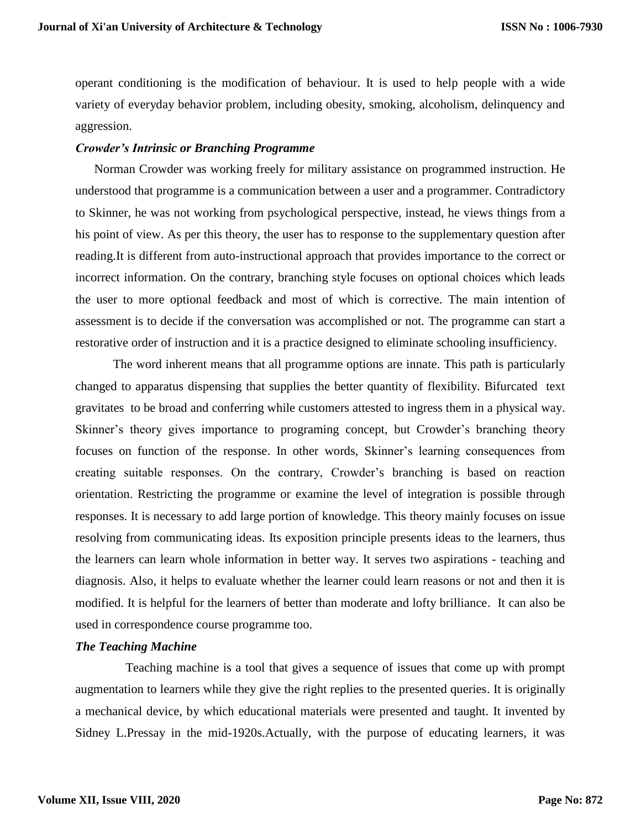operant conditioning is the modification of behaviour. It is used to help people with a wide variety of everyday behavior problem, including obesity, smoking, alcoholism, delinquency and aggression.

## *Crowder's Intrinsic or Branching Programme*

 Norman Crowder was working freely for military assistance on programmed instruction. He understood that programme is a communication between a user and a programmer. Contradictory to Skinner, he was not working from psychological perspective, instead, he views things from a his point of view. As per this theory, the user has to response to the supplementary question after reading.It is different from auto-instructional approach that provides importance to the correct or incorrect information. On the contrary, branching style focuses on optional choices which leads the user to more optional feedback and most of which is corrective. The main intention of assessment is to decide if the conversation was accomplished or not. The programme can start a restorative order of instruction and it is a practice designed to eliminate schooling insufficiency.

The word inherent means that all programme options are innate. This path is particularly changed to apparatus dispensing that supplies the better quantity of flexibility. Bifurcated text gravitates to be broad and conferring while customers attested to ingress them in a physical way. Skinner's theory gives importance to programing concept, but Crowder's branching theory focuses on function of the response. In other words, Skinner's learning consequences from creating suitable responses. On the contrary, Crowder's branching is based on reaction orientation. Restricting the programme or examine the level of integration is possible through responses. It is necessary to add large portion of knowledge. This theory mainly focuses on issue resolving from communicating ideas. Its exposition principle presents ideas to the learners, thus the learners can learn whole information in better way. It serves two aspirations - teaching and diagnosis. Also, it helps to evaluate whether the learner could learn reasons or not and then it is modified. It is helpful for the learners of better than moderate and lofty brilliance. It can also be used in correspondence course programme too.

### *The Teaching Machine*

 Teaching machine is a tool that gives a sequence of issues that come up with prompt augmentation to learners while they give the right replies to the presented queries. It is originally a mechanical device, by which educational materials were presented and taught. It invented by Sidney L.Pressay in the mid-1920s.Actually, with the purpose of educating learners, it was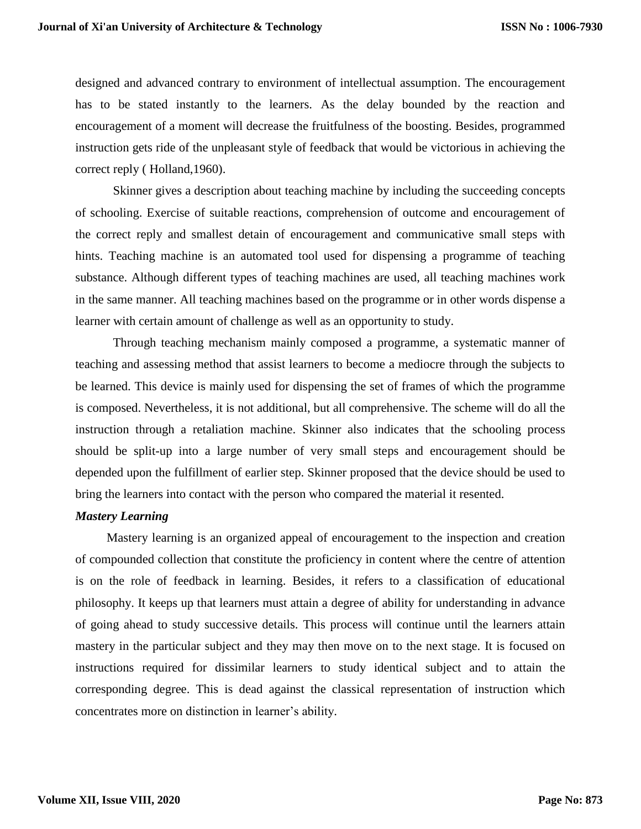designed and advanced contrary to environment of intellectual assumption. The encouragement has to be stated instantly to the learners. As the delay bounded by the reaction and encouragement of a moment will decrease the fruitfulness of the boosting. Besides, programmed instruction gets ride of the unpleasant style of feedback that would be victorious in achieving the correct reply ( Holland,1960).

Skinner gives a description about teaching machine by including the succeeding concepts of schooling. Exercise of suitable reactions, comprehension of outcome and encouragement of the correct reply and smallest detain of encouragement and communicative small steps with hints. Teaching machine is an automated tool used for dispensing a programme of teaching substance. Although different types of teaching machines are used, all teaching machines work in the same manner. All teaching machines based on the programme or in other words dispense a learner with certain amount of challenge as well as an opportunity to study.

Through teaching mechanism mainly composed a programme, a systematic manner of teaching and assessing method that assist learners to become a mediocre through the subjects to be learned. This device is mainly used for dispensing the set of frames of which the programme is composed. Nevertheless, it is not additional, but all comprehensive. The scheme will do all the instruction through a retaliation machine. Skinner also indicates that the schooling process should be split-up into a large number of very small steps and encouragement should be depended upon the fulfillment of earlier step. Skinner proposed that the device should be used to bring the learners into contact with the person who compared the material it resented.

# *Mastery Learning*

 Mastery learning is an organized appeal of encouragement to the inspection and creation of compounded collection that constitute the proficiency in content where the centre of attention is on the role of feedback in learning. Besides, it refers to a classification of educational philosophy. It keeps up that learners must attain a degree of ability for understanding in advance of going ahead to study successive details. This process will continue until the learners attain mastery in the particular subject and they may then move on to the next stage. It is focused on instructions required for dissimilar learners to study identical subject and to attain the corresponding degree. This is dead against the classical representation of instruction which concentrates more on distinction in learner's ability.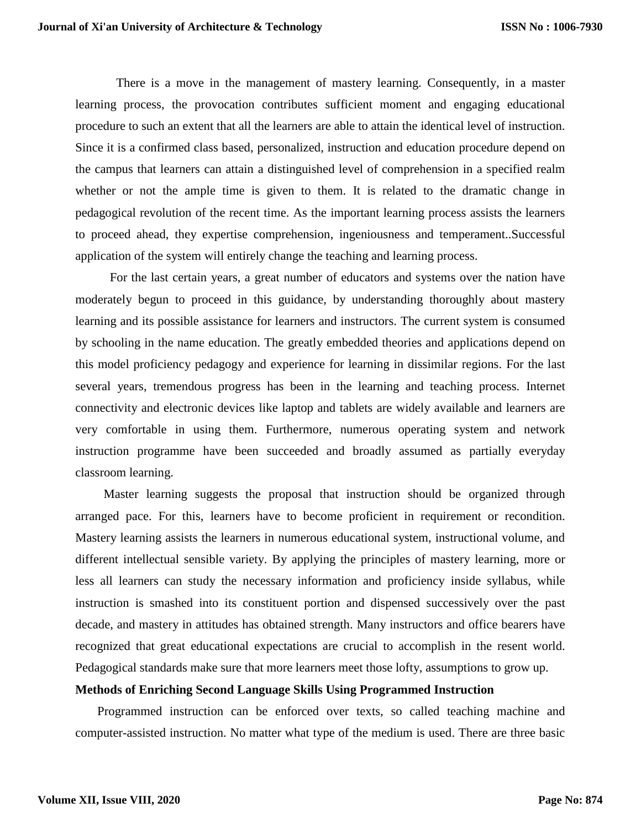There is a move in the management of mastery learning. Consequently, in a master learning process, the provocation contributes sufficient moment and engaging educational procedure to such an extent that all the learners are able to attain the identical level of instruction. Since it is a confirmed class based, personalized, instruction and education procedure depend on the campus that learners can attain a distinguished level of comprehension in a specified realm whether or not the ample time is given to them. It is related to the dramatic change in pedagogical revolution of the recent time. As the important learning process assists the learners to proceed ahead, they expertise comprehension, ingeniousness and temperament..Successful application of the system will entirely change the teaching and learning process.

 For the last certain years, a great number of educators and systems over the nation have moderately begun to proceed in this guidance, by understanding thoroughly about mastery learning and its possible assistance for learners and instructors. The current system is consumed by schooling in the name education. The greatly embedded theories and applications depend on this model proficiency pedagogy and experience for learning in dissimilar regions. For the last several years, tremendous progress has been in the learning and teaching process. Internet connectivity and electronic devices like laptop and tablets are widely available and learners are very comfortable in using them. Furthermore, numerous operating system and network instruction programme have been succeeded and broadly assumed as partially everyday classroom learning.

 Master learning suggests the proposal that instruction should be organized through arranged pace. For this, learners have to become proficient in requirement or recondition. Mastery learning assists the learners in numerous educational system, instructional volume, and different intellectual sensible variety. By applying the principles of mastery learning, more or less all learners can study the necessary information and proficiency inside syllabus, while instruction is smashed into its constituent portion and dispensed successively over the past decade, and mastery in attitudes has obtained strength. Many instructors and office bearers have recognized that great educational expectations are crucial to accomplish in the resent world. Pedagogical standards make sure that more learners meet those lofty, assumptions to grow up.

#### **Methods of Enriching Second Language Skills Using Programmed Instruction**

 Programmed instruction can be enforced over texts, so called teaching machine and computer-assisted instruction. No matter what type of the medium is used. There are three basic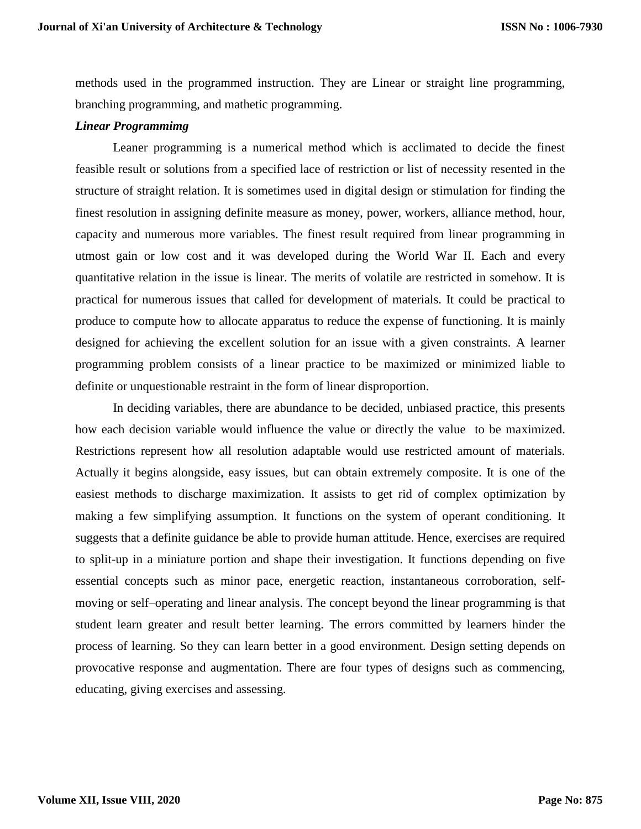methods used in the programmed instruction. They are Linear or straight line programming, branching programming, and mathetic programming.

### *Linear Programmimg*

Leaner programming is a numerical method which is acclimated to decide the finest feasible result or solutions from a specified lace of restriction or list of necessity resented in the structure of straight relation. It is sometimes used in digital design or stimulation for finding the finest resolution in assigning definite measure as money, power, workers, alliance method, hour, capacity and numerous more variables. The finest result required from linear programming in utmost gain or low cost and it was developed during the World War II. Each and every quantitative relation in the issue is linear. The merits of volatile are restricted in somehow. It is practical for numerous issues that called for development of materials. It could be practical to produce to compute how to allocate apparatus to reduce the expense of functioning. It is mainly designed for achieving the excellent solution for an issue with a given constraints. A learner programming problem consists of a linear practice to be maximized or minimized liable to definite or unquestionable restraint in the form of linear disproportion.

In deciding variables, there are abundance to be decided, unbiased practice, this presents how each decision variable would influence the value or directly the value to be maximized. Restrictions represent how all resolution adaptable would use restricted amount of materials. Actually it begins alongside, easy issues, but can obtain extremely composite. It is one of the easiest methods to discharge maximization. It assists to get rid of complex optimization by making a few simplifying assumption. It functions on the system of operant conditioning. It suggests that a definite guidance be able to provide human attitude. Hence, exercises are required to split-up in a miniature portion and shape their investigation. It functions depending on five essential concepts such as minor pace, energetic reaction, instantaneous corroboration, selfmoving or self–operating and linear analysis. The concept beyond the linear programming is that student learn greater and result better learning. The errors committed by learners hinder the process of learning. So they can learn better in a good environment. Design setting depends on provocative response and augmentation. There are four types of designs such as commencing, educating, giving exercises and assessing.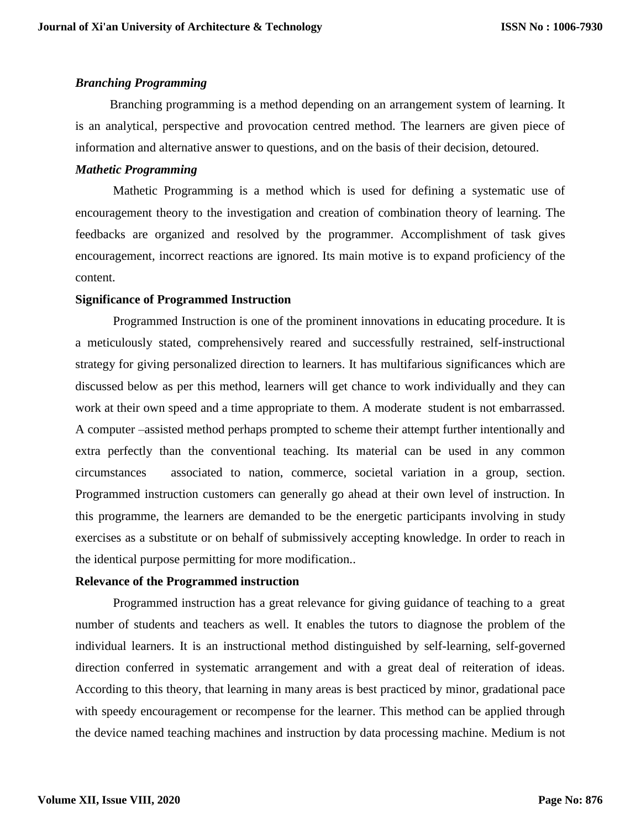## *Branching Programming*

 Branching programming is a method depending on an arrangement system of learning. It is an analytical, perspective and provocation centred method. The learners are given piece of information and alternative answer to questions, and on the basis of their decision, detoured.

## *Mathetic Programming*

Mathetic Programming is a method which is used for defining a systematic use of encouragement theory to the investigation and creation of combination theory of learning. The feedbacks are organized and resolved by the programmer. Accomplishment of task gives encouragement, incorrect reactions are ignored. Its main motive is to expand proficiency of the content.

# **Significance of Programmed Instruction**

 Programmed Instruction is one of the prominent innovations in educating procedure. It is a meticulously stated, comprehensively reared and successfully restrained, self-instructional strategy for giving personalized direction to learners. It has multifarious significances which are discussed below as per this method, learners will get chance to work individually and they can work at their own speed and a time appropriate to them. A moderate student is not embarrassed. A computer –assisted method perhaps prompted to scheme their attempt further intentionally and extra perfectly than the conventional teaching. Its material can be used in any common circumstances associated to nation, commerce, societal variation in a group, section. Programmed instruction customers can generally go ahead at their own level of instruction. In this programme, the learners are demanded to be the energetic participants involving in study exercises as a substitute or on behalf of submissively accepting knowledge. In order to reach in the identical purpose permitting for more modification..

# **Relevance of the Programmed instruction**

 Programmed instruction has a great relevance for giving guidance of teaching to a great number of students and teachers as well. It enables the tutors to diagnose the problem of the individual learners. It is an instructional method distinguished by self-learning, self-governed direction conferred in systematic arrangement and with a great deal of reiteration of ideas. According to this theory, that learning in many areas is best practiced by minor, gradational pace with speedy encouragement or recompense for the learner. This method can be applied through the device named teaching machines and instruction by data processing machine. Medium is not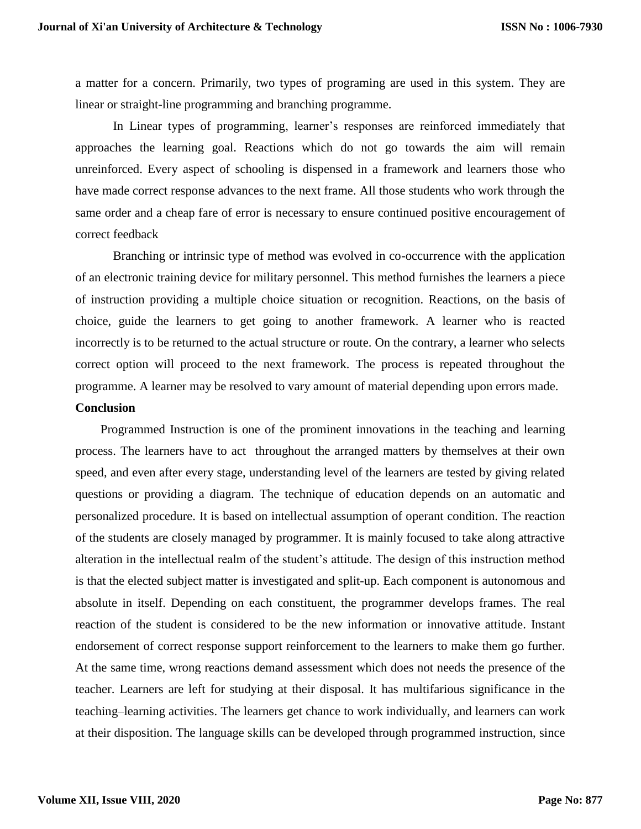a matter for a concern. Primarily, two types of programing are used in this system. They are linear or straight-line programming and branching programme.

In Linear types of programming, learner's responses are reinforced immediately that approaches the learning goal. Reactions which do not go towards the aim will remain unreinforced. Every aspect of schooling is dispensed in a framework and learners those who have made correct response advances to the next frame. All those students who work through the same order and a cheap fare of error is necessary to ensure continued positive encouragement of correct feedback

 Branching or intrinsic type of method was evolved in co-occurrence with the application of an electronic training device for military personnel. This method furnishes the learners a piece of instruction providing a multiple choice situation or recognition. Reactions, on the basis of choice, guide the learners to get going to another framework. A learner who is reacted incorrectly is to be returned to the actual structure or route. On the contrary, a learner who selects correct option will proceed to the next framework. The process is repeated throughout the programme. A learner may be resolved to vary amount of material depending upon errors made.

#### **Conclusion**

 Programmed Instruction is one of the prominent innovations in the teaching and learning process. The learners have to act throughout the arranged matters by themselves at their own speed, and even after every stage, understanding level of the learners are tested by giving related questions or providing a diagram. The technique of education depends on an automatic and personalized procedure. It is based on intellectual assumption of operant condition. The reaction of the students are closely managed by programmer. It is mainly focused to take along attractive alteration in the intellectual realm of the student's attitude. The design of this instruction method is that the elected subject matter is investigated and split-up. Each component is autonomous and absolute in itself. Depending on each constituent, the programmer develops frames. The real reaction of the student is considered to be the new information or innovative attitude. Instant endorsement of correct response support reinforcement to the learners to make them go further. At the same time, wrong reactions demand assessment which does not needs the presence of the teacher. Learners are left for studying at their disposal. It has multifarious significance in the teaching–learning activities. The learners get chance to work individually, and learners can work at their disposition. The language skills can be developed through programmed instruction, since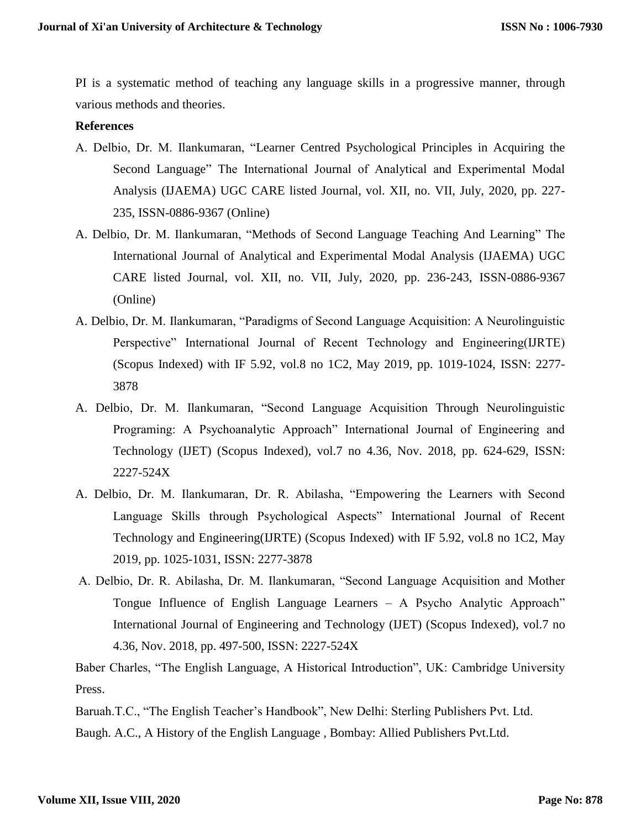PI is a systematic method of teaching any language skills in a progressive manner, through various methods and theories.

## **References**

- A. Delbio, Dr. M. Ilankumaran, "Learner Centred Psychological Principles in Acquiring the Second Language" The International Journal of Analytical and Experimental Modal Analysis (IJAEMA) UGC CARE listed Journal, vol. XII, no. VII, July, 2020, pp. 227- 235, ISSN-0886-9367 (Online)
- A. Delbio, Dr. M. Ilankumaran, "Methods of Second Language Teaching And Learning" The International Journal of Analytical and Experimental Modal Analysis (IJAEMA) UGC CARE listed Journal, vol. XII, no. VII, July, 2020, pp. 236-243, ISSN-0886-9367 (Online)
- A. Delbio, Dr. M. Ilankumaran, "Paradigms of Second Language Acquisition: A Neurolinguistic Perspective" International Journal of Recent Technology and Engineering(IJRTE) (Scopus Indexed) with IF 5.92, vol.8 no 1C2, May 2019, pp. 1019-1024, ISSN: 2277- 3878
- A. Delbio, Dr. M. Ilankumaran, "Second Language Acquisition Through Neurolinguistic Programing: A Psychoanalytic Approach" International Journal of Engineering and Technology (IJET) (Scopus Indexed), vol.7 no 4.36, Nov. 2018, pp. 624-629, ISSN: 2227-524X
- A. Delbio, Dr. M. Ilankumaran, Dr. R. Abilasha, "Empowering the Learners with Second Language Skills through Psychological Aspects" International Journal of Recent Technology and Engineering(IJRTE) (Scopus Indexed) with IF 5.92, vol.8 no 1C2, May 2019, pp. 1025-1031, ISSN: 2277-3878
- A. Delbio, Dr. R. Abilasha, Dr. M. Ilankumaran, "Second Language Acquisition and Mother Tongue Influence of English Language Learners – A Psycho Analytic Approach" International Journal of Engineering and Technology (IJET) (Scopus Indexed), vol.7 no 4.36, Nov. 2018, pp. 497-500, ISSN: 2227-524X

Baber Charles, "The English Language, A Historical Introduction", UK: Cambridge University Press.

Baruah.T.C., "The English Teacher's Handbook", New Delhi: Sterling Publishers Pvt. Ltd.

Baugh. A.C., A History of the English Language , Bombay: Allied Publishers Pvt.Ltd.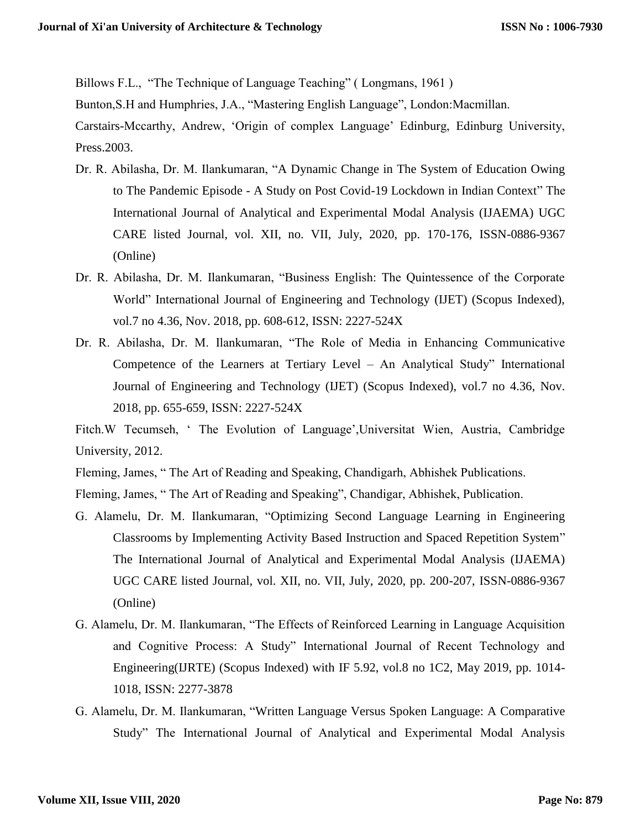Billows F.L., "The Technique of Language Teaching" ( Longmans, 1961 )

Bunton,S.H and Humphries, J.A., "Mastering English Language", London:Macmillan.

Carstairs-Mccarthy, Andrew, 'Origin of complex Language' Edinburg, Edinburg University, Press.2003.

- Dr. R. Abilasha, Dr. M. Ilankumaran, "A Dynamic Change in The System of Education Owing to The Pandemic Episode - A Study on Post Covid-19 Lockdown in Indian Context" The International Journal of Analytical and Experimental Modal Analysis (IJAEMA) UGC CARE listed Journal, vol. XII, no. VII, July, 2020, pp. 170-176, ISSN-0886-9367 (Online)
- Dr. R. Abilasha, Dr. M. Ilankumaran, "Business English: The Quintessence of the Corporate World" International Journal of Engineering and Technology (IJET) (Scopus Indexed), vol.7 no 4.36, Nov. 2018, pp. 608-612, ISSN: 2227-524X
- Dr. R. Abilasha, Dr. M. Ilankumaran, "The Role of Media in Enhancing Communicative Competence of the Learners at Tertiary Level – An Analytical Study" International Journal of Engineering and Technology (IJET) (Scopus Indexed), vol.7 no 4.36, Nov. 2018, pp. 655-659, ISSN: 2227-524X

Fitch.W Tecumseh, ' The Evolution of Language',Universitat Wien, Austria, Cambridge University, 2012.

Fleming, James, " The Art of Reading and Speaking, Chandigarh, Abhishek Publications.

Fleming, James, " The Art of Reading and Speaking", Chandigar, Abhishek, Publication.

- G. Alamelu, Dr. M. Ilankumaran, "Optimizing Second Language Learning in Engineering Classrooms by Implementing Activity Based Instruction and Spaced Repetition System" The International Journal of Analytical and Experimental Modal Analysis (IJAEMA) UGC CARE listed Journal, vol. XII, no. VII, July, 2020, pp. 200-207, ISSN-0886-9367 (Online)
- G. Alamelu, Dr. M. Ilankumaran, "The Effects of Reinforced Learning in Language Acquisition and Cognitive Process: A Study" International Journal of Recent Technology and Engineering(IJRTE) (Scopus Indexed) with IF 5.92, vol.8 no 1C2, May 2019, pp. 1014- 1018, ISSN: 2277-3878
- G. Alamelu, Dr. M. Ilankumaran, "Written Language Versus Spoken Language: A Comparative Study" The International Journal of Analytical and Experimental Modal Analysis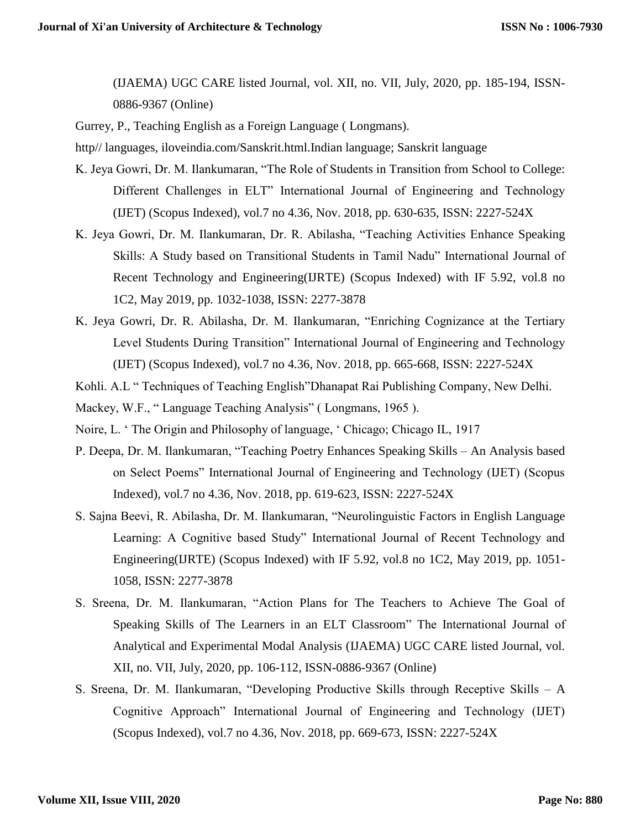(IJAEMA) UGC CARE listed Journal, vol. XII, no. VII, July, 2020, pp. 185-194, ISSN-0886-9367 (Online)

Gurrey, P., Teaching English as a Foreign Language ( Longmans).

http// languages, iloveindia.com/Sanskrit.html.Indian language; Sanskrit language

- K. Jeya Gowri, Dr. M. Ilankumaran, "The Role of Students in Transition from School to College: Different Challenges in ELT" International Journal of Engineering and Technology (IJET) (Scopus Indexed), vol.7 no 4.36, Nov. 2018, pp. 630-635, ISSN: 2227-524X
- K. Jeya Gowri, Dr. M. Ilankumaran, Dr. R. Abilasha, "Teaching Activities Enhance Speaking Skills: A Study based on Transitional Students in Tamil Nadu" International Journal of Recent Technology and Engineering(IJRTE) (Scopus Indexed) with IF 5.92, vol.8 no 1C2, May 2019, pp. 1032-1038, ISSN: 2277-3878
- K. Jeya Gowri, Dr. R. Abilasha, Dr. M. Ilankumaran, "Enriching Cognizance at the Tertiary Level Students During Transition" International Journal of Engineering and Technology (IJET) (Scopus Indexed), vol.7 no 4.36, Nov. 2018, pp. 665-668, ISSN: 2227-524X
- Kohli. A.L " Techniques of Teaching English"Dhanapat Rai Publishing Company, New Delhi.
- Mackey, W.F., " Language Teaching Analysis" ( Longmans, 1965 ).
- Noire, L. ' The Origin and Philosophy of language, ' Chicago; Chicago IL, 1917
- P. Deepa, Dr. M. Ilankumaran, "Teaching Poetry Enhances Speaking Skills An Analysis based on Select Poems" International Journal of Engineering and Technology (IJET) (Scopus Indexed), vol.7 no 4.36, Nov. 2018, pp. 619-623, ISSN: 2227-524X
- S. Sajna Beevi, R. Abilasha, Dr. M. Ilankumaran, "Neurolinguistic Factors in English Language Learning: A Cognitive based Study" International Journal of Recent Technology and Engineering(IJRTE) (Scopus Indexed) with IF 5.92, vol.8 no 1C2, May 2019, pp. 1051- 1058, ISSN: 2277-3878
- S. Sreena, Dr. M. Ilankumaran, "Action Plans for The Teachers to Achieve The Goal of Speaking Skills of The Learners in an ELT Classroom" The International Journal of Analytical and Experimental Modal Analysis (IJAEMA) UGC CARE listed Journal, vol. XII, no. VII, July, 2020, pp. 106-112, ISSN-0886-9367 (Online)
- S. Sreena, Dr. M. Ilankumaran, "Developing Productive Skills through Receptive Skills A Cognitive Approach" International Journal of Engineering and Technology (IJET) (Scopus Indexed), vol.7 no 4.36, Nov. 2018, pp. 669-673, ISSN: 2227-524X